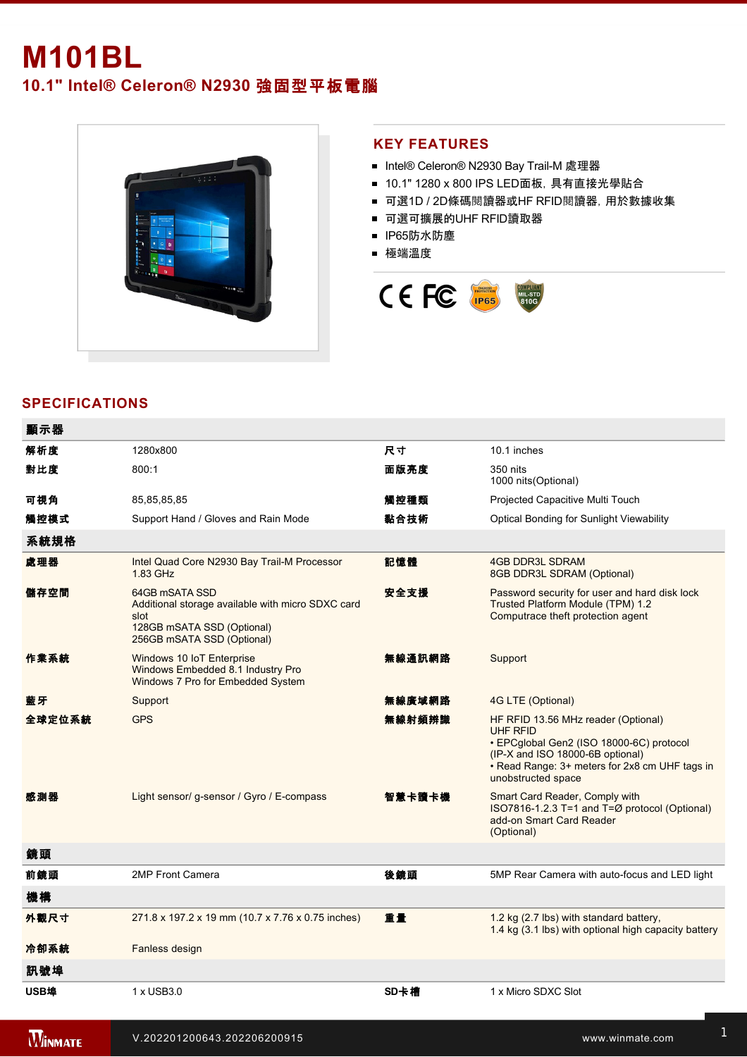## **M101BL 10.1" Intel® Celeron® N2930** 強固型平板電腦



## **KEY FEATURES**

- Intel® Celeron® N2930 Bay Trail-M 處理器
- 10.1" 1280 x 800 IPS LED面板, 具有直接光學貼合
- 可選1D / 2D條碼閱讀器或HF RFID閱讀器, 用於數據收集
- 可選可擴展的UHF RFID讀取器
- IP65防水防塵
- 極端溫度



## **SPECIFICATIONS**

| 顯示器    |                                                                                                                                         |        |                                                                                                                                                                                                                |
|--------|-----------------------------------------------------------------------------------------------------------------------------------------|--------|----------------------------------------------------------------------------------------------------------------------------------------------------------------------------------------------------------------|
| 解析度    | 1280x800                                                                                                                                | 尺寸     | 10.1 inches                                                                                                                                                                                                    |
| 對比度    | 800:1                                                                                                                                   | 面版亮度   | 350 nits<br>1000 nits(Optional)                                                                                                                                                                                |
| 可視角    | 85,85,85,85                                                                                                                             | 觸控種類   | Projected Capacitive Multi Touch                                                                                                                                                                               |
| 觸控模式   | Support Hand / Gloves and Rain Mode                                                                                                     | 黏合技術   | Optical Bonding for Sunlight Viewability                                                                                                                                                                       |
| 系統規格   |                                                                                                                                         |        |                                                                                                                                                                                                                |
| 處理器    | Intel Quad Core N2930 Bay Trail-M Processor<br>1.83 GHz                                                                                 | 記憶體    | <b>4GB DDR3L SDRAM</b><br>8GB DDR3L SDRAM (Optional)                                                                                                                                                           |
| 儲存空間   | 64GB mSATA SSD<br>Additional storage available with micro SDXC card<br>slot<br>128GB mSATA SSD (Optional)<br>256GB mSATA SSD (Optional) | 安全支援   | Password security for user and hard disk lock<br>Trusted Platform Module (TPM) 1.2<br>Computrace theft protection agent                                                                                        |
| 作業系統   | Windows 10 IoT Enterprise<br>Windows Embedded 8.1 Industry Pro<br>Windows 7 Pro for Embedded System                                     | 無線通訊網路 | Support                                                                                                                                                                                                        |
| 藍牙     | Support                                                                                                                                 | 無線廣域網路 | 4G LTE (Optional)                                                                                                                                                                                              |
| 全球定位系統 | <b>GPS</b>                                                                                                                              | 無線射頻辨識 | HF RFID 13.56 MHz reader (Optional)<br><b>UHF RFID</b><br>• EPCglobal Gen2 (ISO 18000-6C) protocol<br>(IP-X and ISO 18000-6B optional)<br>. Read Range: 3+ meters for 2x8 cm UHF tags in<br>unobstructed space |
| 感測器    | Light sensor/ g-sensor / Gyro / E-compass                                                                                               | 智慧卡讀卡機 | Smart Card Reader, Comply with<br>ISO7816-1.2.3 T=1 and T=Ø protocol (Optional)<br>add-on Smart Card Reader<br>(Optional)                                                                                      |
| 鏡頭     |                                                                                                                                         |        |                                                                                                                                                                                                                |
| 前鏡頭    | 2MP Front Camera                                                                                                                        | 後鏡頭    | 5MP Rear Camera with auto-focus and LED light                                                                                                                                                                  |
| 機構     |                                                                                                                                         |        |                                                                                                                                                                                                                |
| 外觀尺寸   | 271.8 x 197.2 x 19 mm (10.7 x 7.76 x 0.75 inches)                                                                                       | 重量     | 1.2 kg (2.7 lbs) with standard battery,<br>1.4 kg (3.1 lbs) with optional high capacity battery                                                                                                                |
| 冷卻系統   | Fanless design                                                                                                                          |        |                                                                                                                                                                                                                |
| 訊號埠    |                                                                                                                                         |        |                                                                                                                                                                                                                |
| USB埠   | 1 x USB3.0                                                                                                                              | SD卡槽   | 1 x Micro SDXC Slot                                                                                                                                                                                            |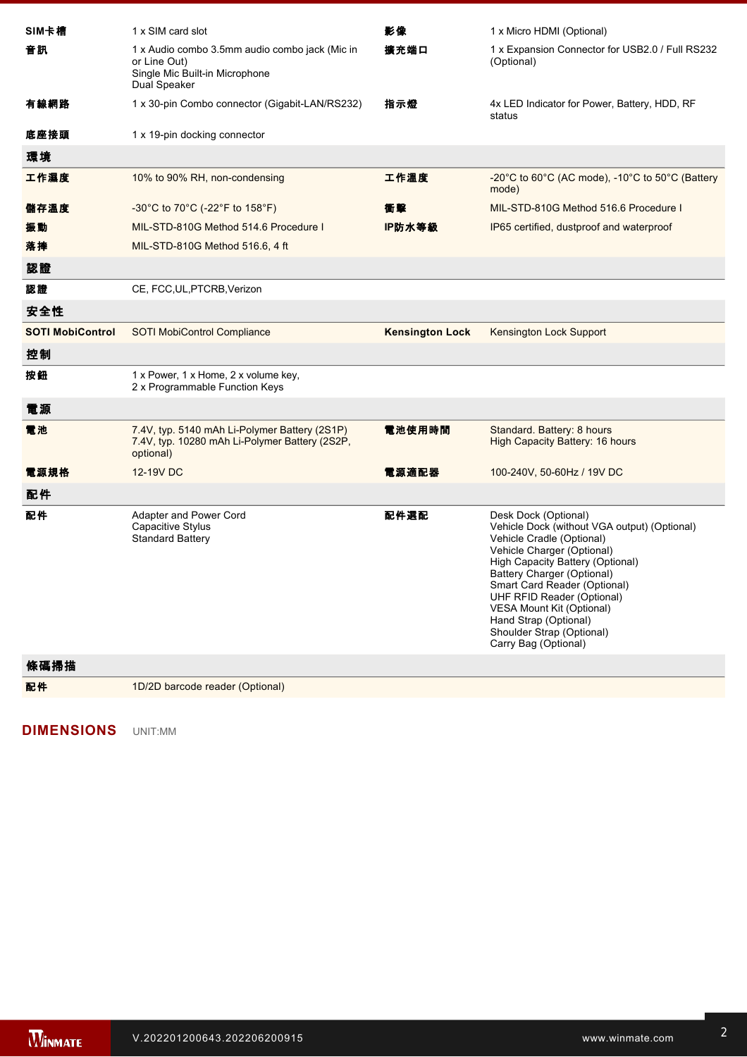| SIM卡槽                   | 1 x SIM card slot                                                                                                | 影像                     | 1 x Micro HDMI (Optional)                                                                                                                                                                                                                                                                                                                                                  |
|-------------------------|------------------------------------------------------------------------------------------------------------------|------------------------|----------------------------------------------------------------------------------------------------------------------------------------------------------------------------------------------------------------------------------------------------------------------------------------------------------------------------------------------------------------------------|
|                         |                                                                                                                  |                        |                                                                                                                                                                                                                                                                                                                                                                            |
| 音訊                      | 1 x Audio combo 3.5mm audio combo jack (Mic in<br>or Line Out)<br>Single Mic Built-in Microphone<br>Dual Speaker | 擴充端口                   | 1 x Expansion Connector for USB2.0 / Full RS232<br>(Optional)                                                                                                                                                                                                                                                                                                              |
| 有線網路                    | 1 x 30-pin Combo connector (Gigabit-LAN/RS232)                                                                   | 指示燈                    | 4x LED Indicator for Power, Battery, HDD, RF<br>status                                                                                                                                                                                                                                                                                                                     |
| 底座接頭                    | 1 x 19-pin docking connector                                                                                     |                        |                                                                                                                                                                                                                                                                                                                                                                            |
| 環境                      |                                                                                                                  |                        |                                                                                                                                                                                                                                                                                                                                                                            |
| 工作濕度                    | 10% to 90% RH, non-condensing                                                                                    | 工作溫度                   | -20 $^{\circ}$ C to 60 $^{\circ}$ C (AC mode), -10 $^{\circ}$ C to 50 $^{\circ}$ C (Battery<br>mode)                                                                                                                                                                                                                                                                       |
| 儲存溫度                    | -30°C to 70°C (-22°F to 158°F)                                                                                   | 衝撃                     | MIL-STD-810G Method 516.6 Procedure I                                                                                                                                                                                                                                                                                                                                      |
| 振動                      | MIL-STD-810G Method 514.6 Procedure I                                                                            | IP防水等級                 | IP65 certified, dustproof and waterproof                                                                                                                                                                                                                                                                                                                                   |
| 落摔                      | MIL-STD-810G Method 516.6, 4 ft                                                                                  |                        |                                                                                                                                                                                                                                                                                                                                                                            |
| 認證                      |                                                                                                                  |                        |                                                                                                                                                                                                                                                                                                                                                                            |
| 認證                      | CE, FCC, UL, PTCRB, Verizon                                                                                      |                        |                                                                                                                                                                                                                                                                                                                                                                            |
| 安全性                     |                                                                                                                  |                        |                                                                                                                                                                                                                                                                                                                                                                            |
| <b>SOTI MobiControl</b> | SOTI MobiControl Compliance                                                                                      | <b>Kensington Lock</b> | Kensington Lock Support                                                                                                                                                                                                                                                                                                                                                    |
| 控制                      |                                                                                                                  |                        |                                                                                                                                                                                                                                                                                                                                                                            |
| 按鈕                      | 1 x Power, 1 x Home, 2 x volume key,<br>2 x Programmable Function Keys                                           |                        |                                                                                                                                                                                                                                                                                                                                                                            |
| 電源                      |                                                                                                                  |                        |                                                                                                                                                                                                                                                                                                                                                                            |
| 電池                      | 7.4V, typ. 5140 mAh Li-Polymer Battery (2S1P)<br>7.4V, typ. 10280 mAh Li-Polymer Battery (2S2P,<br>optional)     | 電池使用時間                 | Standard. Battery: 8 hours<br>High Capacity Battery: 16 hours                                                                                                                                                                                                                                                                                                              |
| 電源規格                    | 12-19V DC                                                                                                        | 電源適配器                  | 100-240V, 50-60Hz / 19V DC                                                                                                                                                                                                                                                                                                                                                 |
| 配件                      |                                                                                                                  |                        |                                                                                                                                                                                                                                                                                                                                                                            |
| 配件                      | Adapter and Power Cord<br>Capacitive Stylus<br><b>Standard Battery</b>                                           | 配件選配                   | Desk Dock (Optional)<br>Vehicle Dock (without VGA output) (Optional)<br>Vehicle Cradle (Optional)<br>Vehicle Charger (Optional)<br>High Capacity Battery (Optional)<br>Battery Charger (Optional)<br>Smart Card Reader (Optional)<br>UHF RFID Reader (Optional)<br>VESA Mount Kit (Optional)<br>Hand Strap (Optional)<br>Shoulder Strap (Optional)<br>Carry Bag (Optional) |
| 條碼掃描                    |                                                                                                                  |                        |                                                                                                                                                                                                                                                                                                                                                                            |

**配件** 1D/2D barcode reader (Optional)

**DIMENSIONS**  UNIT:MM